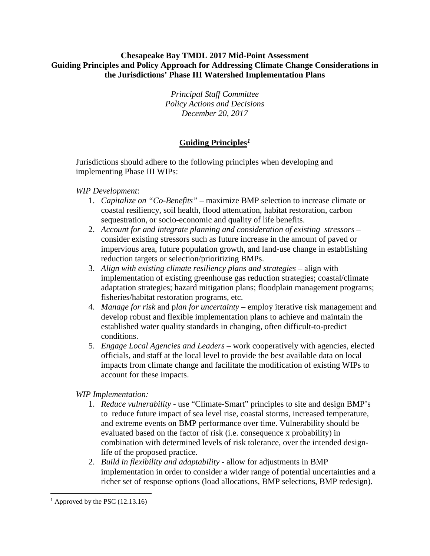#### **Chesapeake Bay TMDL 2017 Mid-Point Assessment Guiding Principles and Policy Approach for Addressing Climate Change Considerations in the Jurisdictions' Phase III Watershed Implementation Plans**

*Principal Staff Committee Policy Actions and Decisions December 20, 2017*

# **Guiding Principles***[1](#page-0-0)*

Jurisdictions should adhere to the following principles when developing and implementing Phase III WIPs:

#### *WIP Development*:

- 1. *Capitalize on "Co-Benefits"* maximize BMP selection to increase climate or coastal resiliency, soil health, flood attenuation, habitat restoration, carbon sequestration, or socio-economic and quality of life benefits.
- 2. *Account for and integrate planning and consideration of existing stressors* consider existing stressors such as future increase in the amount of paved or impervious area, future population growth, and land-use change in establishing reduction targets or selection/prioritizing BMPs.
- 3. *Align with existing climate resiliency plans and strategies* align with implementation of existing greenhouse gas reduction strategies; coastal/climate adaptation strategies; hazard mitigation plans; floodplain management programs; fisheries/habitat restoration programs, etc.
- 4. *Manage for risk* and p*lan for uncertainty* employ iterative risk management and develop robust and flexible implementation plans to achieve and maintain the established water quality standards in changing, often difficult-to-predict conditions.
- 5. *Engage Local Agencies and Leaders* work cooperatively with agencies, elected officials, and staff at the local level to provide the best available data on local impacts from climate change and facilitate the modification of existing WIPs to account for these impacts.

### *WIP Implementation:*

- 1. *Reduce vulnerability* use "Climate-Smart" principles to site and design BMP's to reduce future impact of sea level rise, coastal storms, increased temperature, and extreme events on BMP performance over time. Vulnerability should be evaluated based on the factor of risk (i.e. consequence x probability) in combination with determined levels of risk tolerance, over the intended designlife of the proposed practice.
- 2. *Build in flexibility and adaptability* allow for adjustments in BMP implementation in order to consider a wider range of potential uncertainties and a richer set of response options (load allocations, BMP selections, BMP redesign).

<span id="page-0-0"></span>l  $<sup>1</sup>$  Approved by the PSC (12.13.16)</sup>